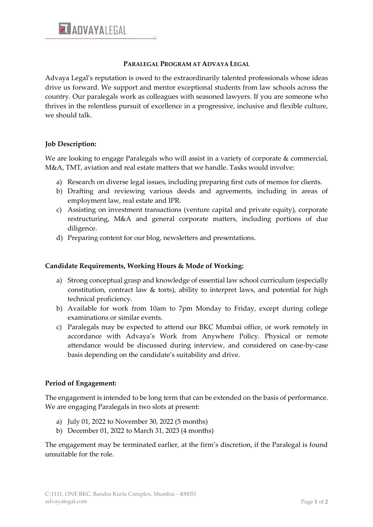#### **PARALEGAL PROGRAM AT ADVAYA LEGAL**

Advaya Legal's reputation is owed to the extraordinarily talented professionals whose ideas drive us forward. We support and mentor exceptional students from law schools across the country. Our paralegals work as colleagues with seasoned lawyers. If you are someone who thrives in the relentless pursuit of excellence in a progressive, inclusive and flexible culture, we should talk.

# **Job Description:**

We are looking to engage Paralegals who will assist in a variety of corporate & commercial, M&A, TMT, aviation and real estate matters that we handle. Tasks would involve:

- a) Research on diverse legal issues, including preparing first cuts of memos for clients.
- b) Drafting and reviewing various deeds and agreements, including in areas of employment law, real estate and IPR.
- c) Assisting on investment transactions (venture capital and private equity), corporate restructuring, M&A and general corporate matters, including portions of due diligence.
- d) Preparing content for our blog, newsletters and presentations.

### **Candidate Requirements, Working Hours & Mode of Working:**

- a) Strong conceptual grasp and knowledge of essential law school curriculum (especially constitution, contract law  $\&$  torts), ability to interpret laws, and potential for high technical proficiency.
- b) Available for work from 10am to 7pm Monday to Friday, except during college examinations or similar events.
- c) Paralegals may be expected to attend our BKC Mumbai office, or work remotely in accordance with Advaya's Work from Anywhere Policy. Physical or remote attendance would be discussed during interview, and considered on case-by-case basis depending on the candidate's suitability and drive.

### **Period of Engagement:**

The engagement is intended to be long term that can be extended on the basis of performance. We are engaging Paralegals in two slots at present:

- a) July 01, 2022 to November 30, 2022 (5 months)
- b) December 01, 2022 to March 31, 2023 (4 months)

The engagement may be terminated earlier, at the firm's discretion, if the Paralegal is found unsuitable for the role.